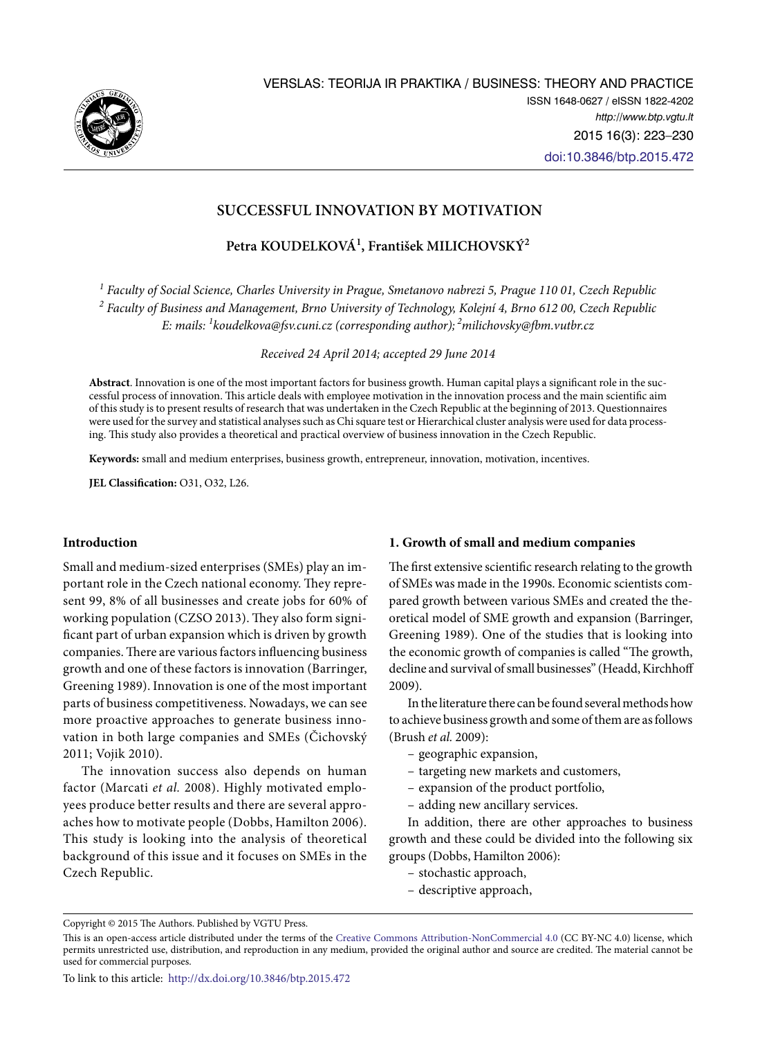

# **SUCCESSFUL INNOVATION BY MOTIVATION**

**Petra KOUDELKOVÁ1 , František MILICHOVSKÝ2**

*1 Faculty of Social Science, Charles University in Prague, Smetanovo nabrezi 5, Prague 110 01, Czech Republic 2 Faculty of Business and Management, Brno University of Technology, Kolejní 4, Brno 612 00, Czech Republic E: mails: 1 [koudelkova@fsv.cuni.cz](mailto:koudelkova@fsv.cuni.cz) (corresponding author); [2milichovsky@fbm.vutbr.cz](mailto:milichovsky@fbm.vutbr.cz)* 

*Received 24 April 2014; accepted 29 June 2014* 

**Abstract**. Innovation is one of the most important factors for business growth. Human capital plays a significant role in the successful process of innovation. This article deals with employee motivation in the innovation process and the main scientific aim of this study is to present results of research that was undertaken in the Czech Republic at the beginning of 2013. Questionnaires were used for the survey and statistical analyses such as Chi square test or Hierarchical cluster analysis were used for data processing. This study also provides a theoretical and practical overview of business innovation in the Czech Republic.

**Keywords:** small and medium enterprises, business growth, entrepreneur, innovation, motivation, incentives.

**JEL Classification:** O31, O32, L26.

# **Introduction**

Small and medium-sized enterprises (SMEs) play an important role in the Czech national economy. They represent 99, 8% of all businesses and create jobs for 60% of working population (CZSO 2013). They also form significant part of urban expansion which is driven by growth companies. There are various factors influencing business growth and one of these factors is innovation (Barringer, Greening 1989). Innovation is one of the most important parts of business competitiveness. Nowadays, we can see more proactive approaches to generate business innovation in both large companies and SMEs (Čichovský 2011; Vojik 2010).

The innovation success also depends on human factor (Marcati *et al.* 2008). Highly motivated employees produce better results and there are several approaches how to motivate people (Dobbs, Hamilton 2006). This study is looking into the analysis of theoretical background of this issue and it focuses on SMEs in the Czech Republic.

# **1. Growth of small and medium companies**

The first extensive scientific research relating to the growth of SMEs was made in the 1990s. Economic scientists compared growth between various SMEs and created the theoretical model of SME growth and expansion (Barringer, Greening 1989). One of the studies that is looking into the economic growth of companies is called "The growth, decline and survival of small businesses" (Headd, Kirchhoff 2009).

In the literature there can be found several methods how to achieve business growth and some of them are as follows (Brush *et al.* 2009):

- geographic expansion,
- targeting new markets and customers,
- expansion of the product portfolio,
- adding new ancillary services.

In addition, there are other approaches to business growth and these could be divided into the following six groups (Dobbs, Hamilton 2006):

- stochastic approach,
- descriptive approach,

Copyright © 2015 The Authors. Published by VGTU Press.

This is an open-access article distributed under the terms of the [Creative Commons Attribution-NonCommercial 4.0](http://creativecommons.org/licenses/by-nc/4.0/) (CC BY-NC 4.0) license, which permits unrestricted use, distribution, and reproduction in any medium, provided the original author and source are credited. The material cannot be used for commercial purposes.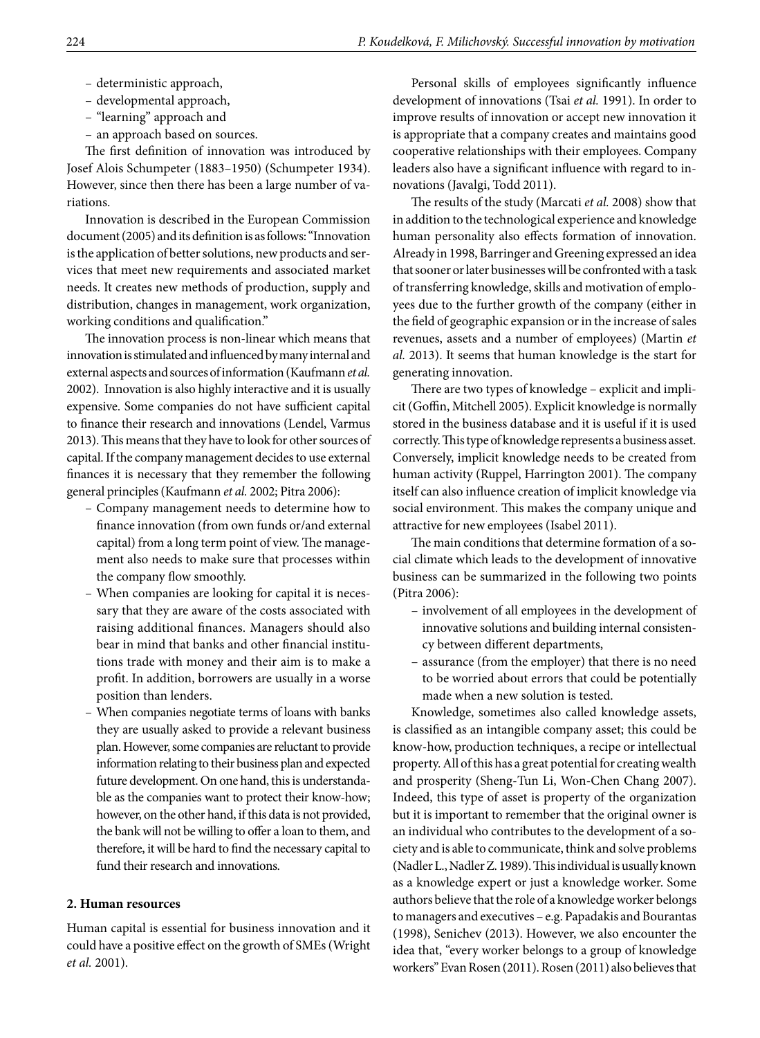- deterministic approach,
- developmental approach,
- "learning" approach and
- an approach based on sources.

The first definition of innovation was introduced by Josef Alois Schumpeter (1883–1950) (Schumpeter 1934). However, since then there has been a large number of variations.

Innovation is described in the European Commission document (2005) and its definition is as follows: "Innovation is the application of better solutions, new products and services that meet new requirements and associated market needs. It creates new methods of production, supply and distribution, changes in management, work organization, working conditions and qualification."

The innovation process is non-linear which means that innovation is stimulated and influenced by many internal and external aspects and sources of information (Kaufmann *et al.* 2002). Innovation is also highly interactive and it is usually expensive. Some companies do not have sufficient capital to finance their research and innovations (Lendel, Varmus 2013). This means that they have to look for other sources of capital. If the company management decides to use external finances it is necessary that they remember the following general principles (Kaufmann *et al.* 2002; Pitra 2006):

- Company management needs to determine how to finance innovation (from own funds or/and external capital) from a long term point of view. The management also needs to make sure that processes within the company flow smoothly.
- When companies are looking for capital it is necessary that they are aware of the costs associated with raising additional finances. Managers should also bear in mind that banks and other financial institutions trade with money and their aim is to make a profit. In addition, borrowers are usually in a worse position than lenders.
- When companies negotiate terms of loans with banks they are usually asked to provide a relevant business plan. However, some companies are reluctant to provide information relating to their business plan and expected future development. On one hand, this is understandable as the companies want to protect their know-how; however, on the other hand, if this data is not provided, the bank will not be willing to offer a loan to them, and therefore, it will be hard to find the necessary capital to fund their research and innovations.

### **2. Human resources**

Human capital is essential for business innovation and it could have a positive effect on the growth of SMEs (Wright *et al.* 2001).

Personal skills of employees significantly influence development of innovations (Tsai *et al.* 1991). In order to improve results of innovation or accept new innovation it is appropriate that a company creates and maintains good cooperative relationships with their employees. Company leaders also have a significant influence with regard to innovations (Javalgi, Todd 2011).

The results of the study (Marcati *et al.* 2008) show that in addition to the technological experience and knowledge human personality also effects formation of innovation. Already in 1998, Barringer and Greening expressed an idea that sooner or later businesses will be confronted with a task of transferring knowledge, skills and motivation of employees due to the further growth of the company (either in the field of geographic expansion or in the increase of sales revenues, assets and a number of employees) (Martin *et al.* 2013). It seems that human knowledge is the start for generating innovation.

There are two types of knowledge – explicit and implicit (Goffin, Mitchell 2005). Explicit knowledge is normally stored in the business database and it is useful if it is used correctly. This type of knowledge represents a business asset. Conversely, implicit knowledge needs to be created from human activity (Ruppel, Harrington 2001). The company itself can also influence creation of implicit knowledge via social environment. This makes the company unique and attractive for new employees (Isabel 2011).

The main conditions that determine formation of a social climate which leads to the development of innovative business can be summarized in the following two points (Pitra 2006):

- involvement of all employees in the development of innovative solutions and building internal consistency between different departments,
- assurance (from the employer) that there is no need to be worried about errors that could be potentially made when a new solution is tested.

Knowledge, sometimes also called knowledge assets, is classified as an intangible company asset; this could be know-how, production techniques, a recipe or intellectual property. All of this has a great potential for creating wealth and prosperity (Sheng-Tun Li, Won-Chen Chang 2007). Indeed, this type of asset is property of the organization but it is important to remember that the original owner is an individual who contributes to the development of a society and is able to communicate, think and solve problems (Nadler L., Nadler Z. 1989). This individual is usually known as a knowledge expert or just a knowledge worker. Some authors believe that the role of a knowledge worker belongs to managers and executives – e.g. Papadakis and Bourantas (1998), Senichev (2013). However, we also encounter the idea that, "every worker belongs to a group of knowledge workers" Evan Rosen (2011). Rosen (2011) also believes that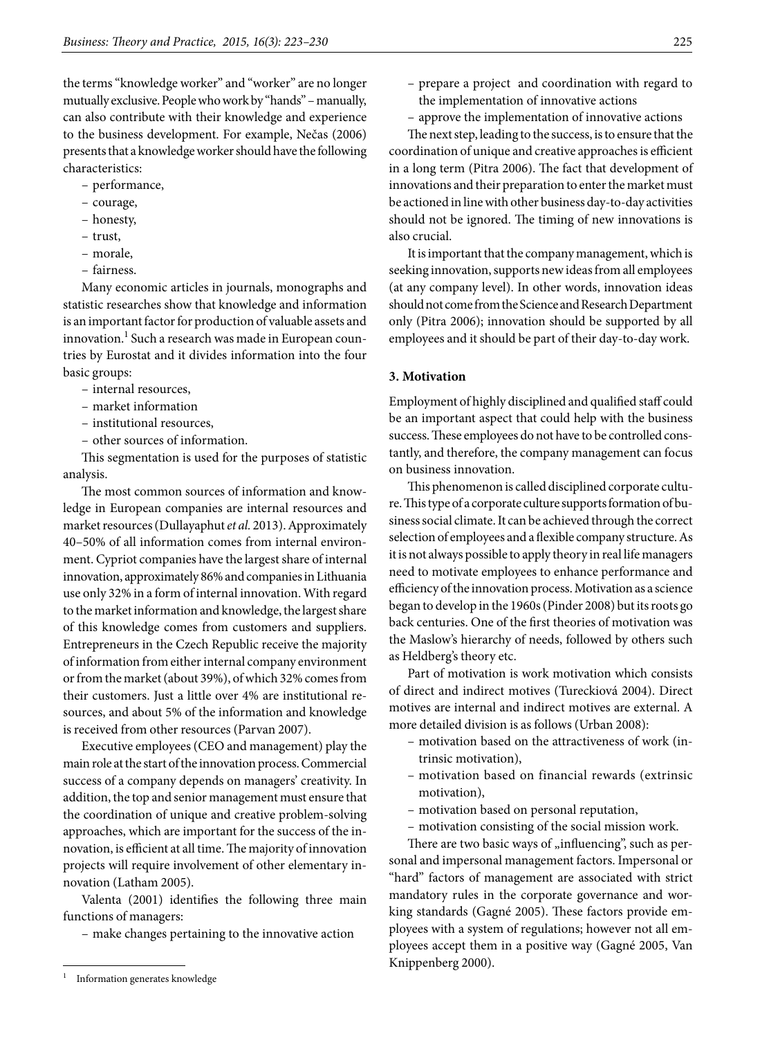the terms "knowledge worker" and "worker" are no longer mutually exclusive. People who work by "hands" – manually, can also contribute with their knowledge and experience to the business development. For example, Nečas (2006) presents that a knowledge worker should have the following characteristics:

- performance,
- courage,
- honesty,
- trust,
- morale,
- fairness.

Many economic articles in journals, monographs and statistic researches show that knowledge and information is an important factor for production of valuable assets and innovation.<sup>1</sup> Such a research was made in European countries by Eurostat and it divides information into the four basic groups:

- internal resources,
- market information
- institutional resources,
- other sources of information.

This segmentation is used for the purposes of statistic analysis.

The most common sources of information and knowledge in European companies are internal resources and market resources (Dullayaphut *et al.* 2013). Approximately 40–50% of all information comes from internal environment. Cypriot companies have the largest share of internal innovation, approximately 86% and companies in Lithuania use only 32% in a form of internal innovation. With regard to the market information and knowledge, the largest share of this knowledge comes from customers and suppliers. Entrepreneurs in the Czech Republic receive the majority of information from either internal company environment or from the market (about 39%), of which 32% comes from their customers. Just a little over 4% are institutional resources, and about 5% of the information and knowledge is received from other resources (Parvan 2007).

Executive employees (CEO and management) play the main role at the start of the innovation process. Commercial success of a company depends on managers' creativity. In addition, the top and senior management must ensure that the coordination of unique and creative problem-solving approaches, which are important for the success of the innovation, is efficient at all time. The majority of innovation projects will require involvement of other elementary innovation (Latham 2005).

Valenta (2001) identifies the following three main functions of managers:

– make changes pertaining to the innovative action

- prepare a project and coordination with regard to the implementation of innovative actions
- approve the implementation of innovative actions

The next step, leading to the success, is to ensure that the coordination of unique and creative approaches is efficient in a long term (Pitra 2006). The fact that development of innovations and their preparation to enter the market must be actioned in line with other business day-to-day activities should not be ignored. The timing of new innovations is also crucial.

It is important that the company management, which is seeking innovation, supports new ideas from all employees (at any company level). In other words, innovation ideas should not come from the Science and Research Department only (Pitra 2006); innovation should be supported by all employees and it should be part of their day-to-day work.

### **3. Motivation**

Employment of highly disciplined and qualified staff could be an important aspect that could help with the business success. These employees do not have to be controlled constantly, and therefore, the company management can focus on business innovation.

This phenomenon is called disciplined corporate culture. This type of a corporate culture supports formation of business social climate. It can be achieved through the correct selection of employees and a flexible company structure. As it is not always possible to apply theory in real life managers need to motivate employees to enhance performance and efficiency of the innovation process. Motivation as a science began to develop in the 1960s (Pinder 2008) but its roots go back centuries. One of the first theories of motivation was the Maslow's hierarchy of needs, followed by others such as Heldberg's theory etc.

Part of motivation is work motivation which consists of direct and indirect motives (Tureckiová 2004). Direct motives are internal and indirect motives are external. A more detailed division is as follows (Urban 2008):

- motivation based on the attractiveness of work (intrinsic motivation),
- motivation based on financial rewards (extrinsic motivation),
- motivation based on personal reputation,
- motivation consisting of the social mission work.

There are two basic ways of "influencing", such as personal and impersonal management factors. Impersonal or "hard" factors of management are associated with strict mandatory rules in the corporate governance and working standards (Gagné 2005). These factors provide employees with a system of regulations; however not all employees accept them in a positive way (Gagné 2005, Van Knippenberg 2000).

<sup>1</sup> Information generates knowledge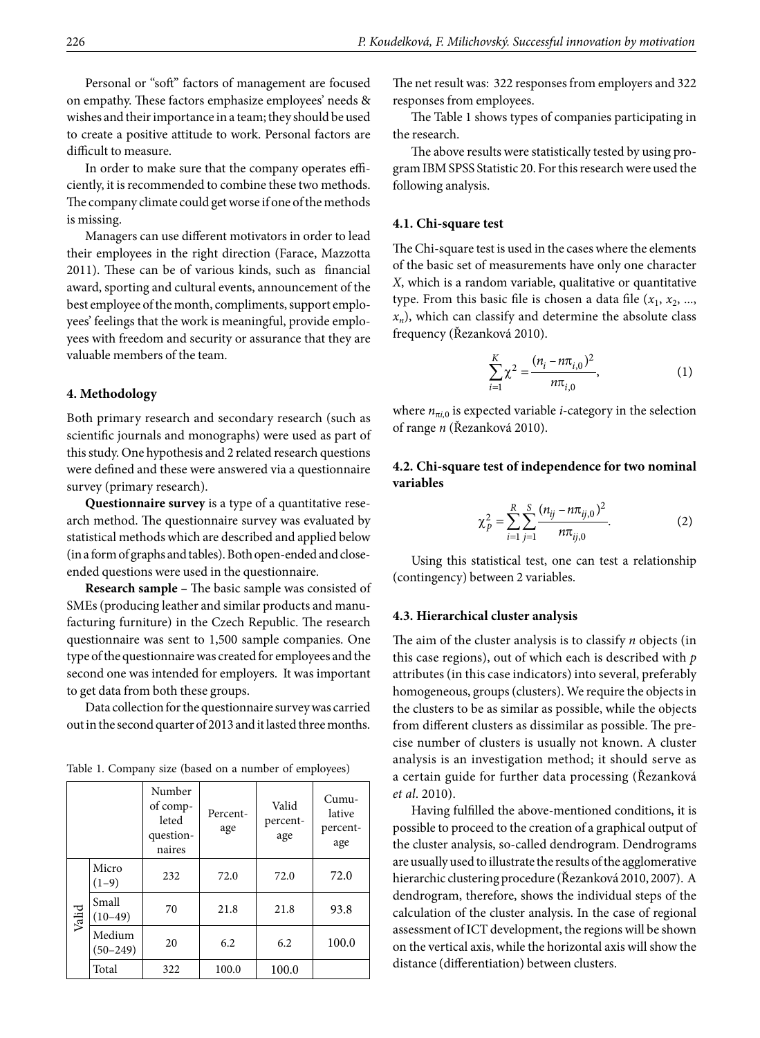Personal or "soft" factors of management are focused on empathy. These factors emphasize employees' needs & wishes and their importance in a team; they should be used to create a positive attitude to work. Personal factors are difficult to measure.

In order to make sure that the company operates efficiently, it is recommended to combine these two methods. The company climate could get worse if one of the methods is missing.

Managers can use different motivators in order to lead their employees in the right direction (Farace, Mazzotta 2011). These can be of various kinds, such as financial award, sporting and cultural events, announcement of the best employee of the month, compliments, support employees' feelings that the work is meaningful, provide employees with freedom and security or assurance that they are valuable members of the team.

#### **4. Methodology**

Both primary research and secondary research (such as scientific journals and monographs) were used as part of this study. One hypothesis and 2 related research questions were defined and these were answered via a questionnaire survey (primary research).

**Questionnaire survey** is a type of a quantitative research method. The questionnaire survey was evaluated by statistical methods which are described and applied below (in a form of graphs and tables). Both open-ended and closeended questions were used in the questionnaire.

**Research sample –** The basic sample was consisted of SMEs (producing leather and similar products and manufacturing furniture) in the Czech Republic. The research questionnaire was sent to 1,500 sample companies. One type of the questionnaire was created for employees and the second one was intended for employers. It was important to get data from both these groups.

Data collection for the questionnaire survey was carried out in the second quarter of 2013 and it lasted three months.

|       |                        | Number<br>of comp-<br>leted<br>question-<br>naires | Percent-<br>age | Valid<br>percent-<br>age | $Cumu-$<br>lative<br>percent-<br>age |
|-------|------------------------|----------------------------------------------------|-----------------|--------------------------|--------------------------------------|
| Valid | Micro<br>$(1-9)$       | 232                                                | 72.0            | 72.0                     | 72.0                                 |
|       | Small<br>$(10-49)$     | 70                                                 | 21.8            | 21.8                     | 93.8                                 |
|       | Medium<br>$(50 - 249)$ | 20                                                 | 6.2             | 6.2                      | 100.0                                |
|       | Total                  | 322                                                | 100.0           | 100.0                    |                                      |

Table 1. Company size (based on a number of employees)

The net result was: 322 responses from employers and 322 responses from employees.

The Table 1 shows types of companies participating in the research.

The above results were statistically tested by using program IBM SPSS Statistic 20. For this research were used the following analysis.

#### **4.1. Chi-square test**

The Chi-square test is used in the cases where the elements of the basic set of measurements have only one character *X*, which is a random variable, qualitative or quantitative type. From this basic file is chosen a data file  $(x_1, x_2, \ldots, x_n)$  $x_n$ ), which can classify and determine the absolute class frequency (Řezanková 2010).

$$
\sum_{i=1}^{K} \chi^2 = \frac{(n_i - n\pi_{i,0})^2}{n\pi_{i,0}},
$$
 (1)

where  $n_{\pi i,0}$  is expected variable *i*-category in the selection of range *n* (Řezanková 2010).

# **4.2. Chi-square test of independence for two nominal variables**

$$
\chi_p^2 = \sum_{i=1}^R \sum_{j=1}^S \frac{(n_{ij} - n\pi_{ij,0})^2}{n\pi_{ij,0}}.
$$
 (2)

Using this statistical test, one can test a relationship (contingency) between 2 variables.

#### **4.3. Hierarchical cluster analysis**

The aim of the cluster analysis is to classify *n* objects (in this case regions), out of which each is described with *p*  attributes (in this case indicators) into several, preferably homogeneous, groups (clusters). We require the objects in the clusters to be as similar as possible, while the objects from different clusters as dissimilar as possible. The precise number of clusters is usually not known. A cluster analysis is an investigation method; it should serve as a certain guide for further data processing (Řezanková *et al*. 2010).

Having fulfilled the above-mentioned conditions, it is possible to proceed to the creation of a graphical output of the cluster analysis, so-called dendrogram. Dendrograms are usually used to illustrate the results of the agglomerative hierarchic clustering procedure (Řezanková 2010, 2007). A dendrogram, therefore, shows the individual steps of the calculation of the cluster analysis. In the case of regional assessment of ICT development, the regions will be shown on the vertical axis, while the horizontal axis will show the distance (differentiation) between clusters.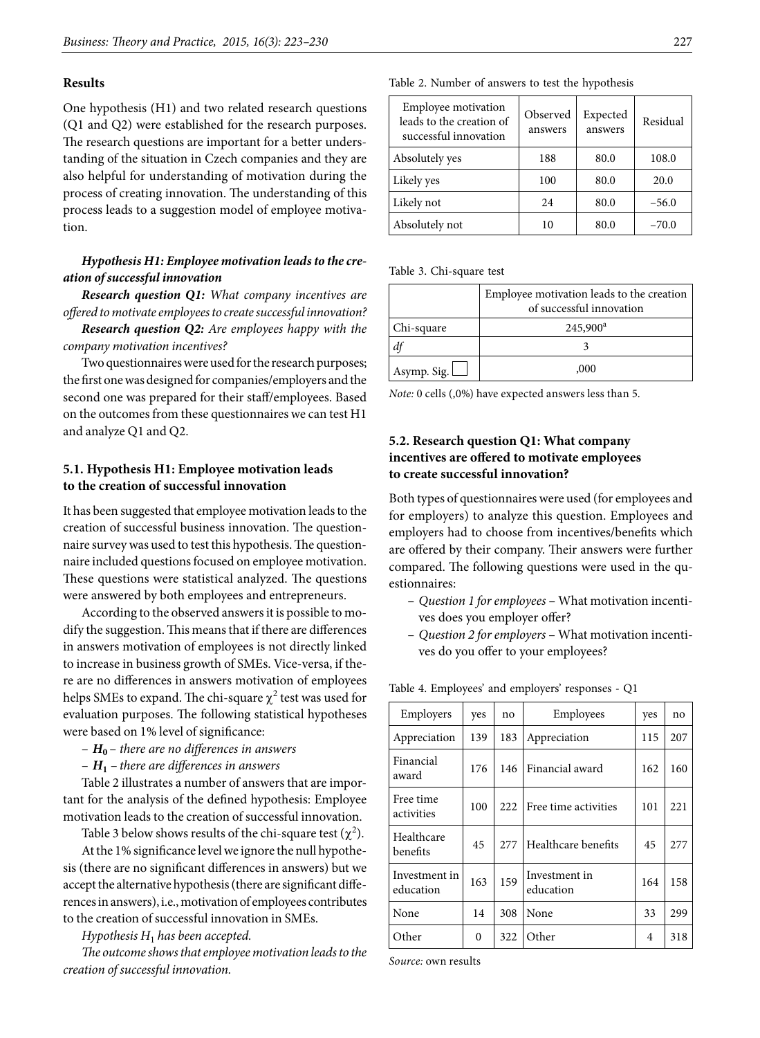#### **Results**

One hypothesis (H1) and two related research questions (Q1 and Q2) were established for the research purposes. The research questions are important for a better understanding of the situation in Czech companies and they are also helpful for understanding of motivation during the process of creating innovation. The understanding of this process leads to a suggestion model of employee motivation.

# *Hypothesis H1: Employee motivation leads to the creation of successful innovation*

*Research question Q1: What company incentives are offered to motivate employees to create successful innovation?*

*Research question Q2: Are employees happy with the company motivation incentives?*

Two questionnaires were used for the research purposes; the first one was designed for companies/employers and the second one was prepared for their staff/employees. Based on the outcomes from these questionnaires we can test H1 and analyze Q1 and Q2.

### **5.1. Hypothesis H1: Employee motivation leads to the creation of successful innovation**

It has been suggested that employee motivation leads to the creation of successful business innovation. The questionnaire survey was used to test this hypothesis. The questionnaire included questions focused on employee motivation. These questions were statistical analyzed. The questions were answered by both employees and entrepreneurs.

According to the observed answers it is possible to modify the suggestion. This means that if there are differences in answers motivation of employees is not directly linked to increase in business growth of SMEs. Vice-versa, if there are no differences in answers motivation of employees helps SMEs to expand. The chi-square  $\chi^2$  test was used for evaluation purposes. The following statistical hypotheses were based on 1% level of significance:

- *H***<sup>0</sup>** – *there are no differences in answers*
- *H***<sup>1</sup>** *there are differences in answers*

Table 2 illustrates a number of answers that are important for the analysis of the defined hypothesis: Employee motivation leads to the creation of successful innovation.

Table 3 below shows results of the chi-square test ( $\chi^2$ ).

At the 1% significance level we ignore the null hypothesis (there are no significant differences in answers) but we accept the alternative hypothesis (there are significant differences in answers), i.e., motivation of employees contributes to the creation of successful innovation in SMEs.

*Hypothesis H*1 *has been accepted.*

*The outcome shows that employee motivation leads to the creation of successful innovation.*

|  |  | Table 2. Number of answers to test the hypothesis |  |  |  |
|--|--|---------------------------------------------------|--|--|--|
|--|--|---------------------------------------------------|--|--|--|

| <b>Employee motivation</b><br>leads to the creation of<br>successful innovation | Observed<br>answers | Expected<br>answers | Residual |  |
|---------------------------------------------------------------------------------|---------------------|---------------------|----------|--|
| Absolutely yes                                                                  | 188                 | 80.0                | 108.0    |  |
| Likely yes                                                                      | 100                 | 80.0                | 20.0     |  |
| Likely not                                                                      | 24                  | 80.0                | $-56.0$  |  |
| Absolutely not                                                                  | 10                  | 80.0                | $-70.0$  |  |

Table 3. Chi-square test

|                    | Employee motivation leads to the creation<br>of successful innovation |
|--------------------|-----------------------------------------------------------------------|
| Chi-square         | $245,900^a$                                                           |
|                    |                                                                       |
| Asymp. Sig. $\Box$ | ,000                                                                  |

*Note:* 0 cells (,0%) have expected answers less than 5.

# **5.2. Research question Q1: What company incentives are offered to motivate employees to create successful innovation?**

Both types of questionnaires were used (for employees and for employers) to analyze this question. Employees and employers had to choose from incentives/benefits which are offered by their company. Their answers were further compared. The following questions were used in the questionnaires:

- *Question 1 for employees* What motivation incentives does you employer offer?
- *Question 2 for employers* What motivation incentives do you offer to your employees?

| Employers                  | yes | no   | Employees                  | yes | no   |
|----------------------------|-----|------|----------------------------|-----|------|
| Appreciation               | 139 | 183  | Appreciation               | 115 | 207  |
| Financial<br>award         | 176 | 146  | Financial award            | 162 | 160  |
| Free time<br>activities    | 100 | 222  | Free time activities       | 101 | 221  |
| Healthcare<br>benefits     | 45  | 2.77 | Healthcare benefits        | 45  | 2.77 |
| Investment in<br>education | 163 | 159  | Investment in<br>education | 164 | 158  |
| None                       | 14  | 308  | None                       | 33  | 299  |
| Other                      | 0   | 322  | Other                      | 4   | 318  |

Table 4. Employees' and employers' responses - Q1

*Source:* own results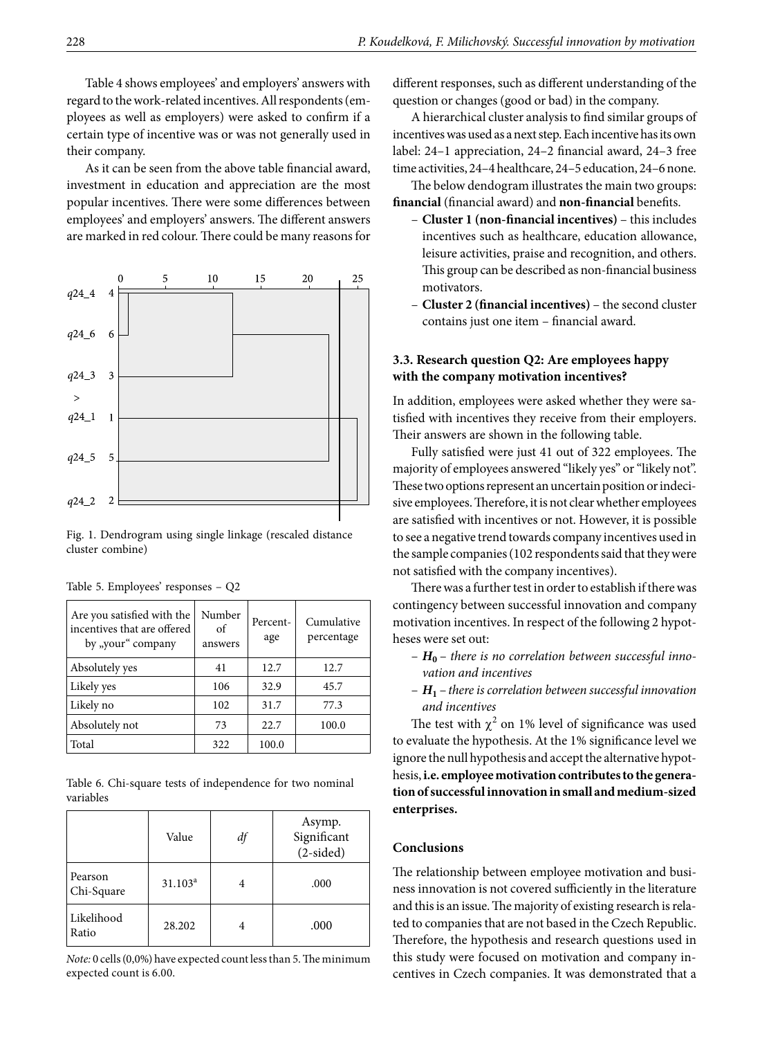Table 4 shows employees' and employers' answers with regard to the work-related incentives. All respondents (employees as well as employers) were asked to confirm if a certain type of incentive was or was not generally used in their company.

As it can be seen from the above table financial award, investment in education and appreciation are the most popular incentives. There were some differences between employees' and employers' answers. The different answers are marked in red colour. There could be many reasons for



Fig. 1. Dendrogram using single linkage (rescaled distance cluster combine)

| Are you satisfied with the<br>incentives that are offered<br>by "your" company | Number<br>of<br>answers | Percent-<br>age | Cumulative<br>percentage |
|--------------------------------------------------------------------------------|-------------------------|-----------------|--------------------------|
| Absolutely yes                                                                 | 41                      | 12.7            | 12.7                     |
| Likely yes                                                                     | 106                     | 32.9            | 45.7                     |
| Likely no                                                                      | 102                     | 31.7            | 77.3                     |
| Absolutely not                                                                 | 73                      | 22.7            | 100.0                    |
| Total                                                                          | 322                     | 100.0           |                          |

Table 5. Employees' responses – Q2

Table 6. Chi-square tests of independence for two nominal variables

|                       | Value               | df | Asymp.<br>Significant<br>$(2-sided)$ |
|-----------------------|---------------------|----|--------------------------------------|
| Pearson<br>Chi-Square | 31.103 <sup>a</sup> |    | .000                                 |
| Likelihood<br>Ratio   | 28.202              |    | .000                                 |

*Note:* 0 cells (0,0%) have expected count less than 5. The minimum expected count is 6.00.

different responses, such as different understanding of the question or changes (good or bad) in the company.

A hierarchical cluster analysis to find similar groups of incentives was used as a next step. Each incentive has its own label: 24–1 appreciation, 24–2 financial award, 24–3 free time activities, 24–4 healthcare, 24–5 education, 24–6 none.

The below dendogram illustrates the main two groups: **financial** (financial award) and **non-financial** benefits.

- **Cluster 1 (non-financial incentives)**  this includes incentives such as healthcare, education allowance, leisure activities, praise and recognition, and others. This group can be described as non-financial business motivators.
- **Cluster 2 (financial incentives)**  the second cluster contains just one item – financial award.

### **3.3. Research question Q2: Are employees happy with the company motivation incentives?**

In addition, employees were asked whether they were satisfied with incentives they receive from their employers. Their answers are shown in the following table.

Fully satisfied were just 41 out of 322 employees. The majority of employees answered "likely yes" or "likely not". These two options represent an uncertain position or indecisive employees. Therefore, it is not clear whether employees are satisfied with incentives or not. However, it is possible to see a negative trend towards company incentives used in the sample companies (102 respondents said that they were not satisfied with the company incentives).

There was a further test in order to establish if there was contingency between successful innovation and company motivation incentives. In respect of the following 2 hypotheses were set out:

- *H***<sup>0</sup>** – *there is no correlation between successful innovation and incentives*
- *H***<sup>1</sup>** –*there is correlation between successful innovation and incentives*

The test with  $\chi^2$  on 1% level of significance was used to evaluate the hypothesis. At the 1% significance level we ignore the null hypothesis and accept the alternative hypothesis, **i.e. employee motivation contributes to the generation of successful innovation in small and medium-sized enterprises.**

### **Conclusions**

The relationship between employee motivation and business innovation is not covered sufficiently in the literature and this is an issue. The majority of existing research is related to companies that are not based in the Czech Republic. Therefore, the hypothesis and research questions used in this study were focused on motivation and company incentives in Czech companies. It was demonstrated that a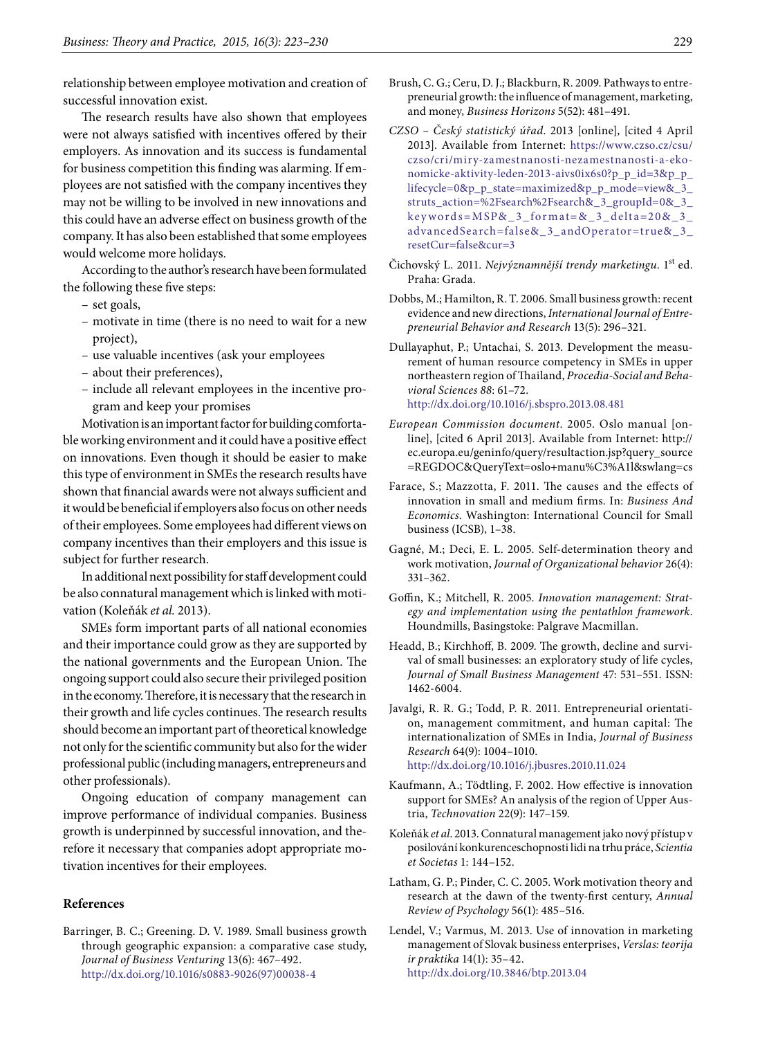relationship between employee motivation and creation of successful innovation exist.

The research results have also shown that employees were not always satisfied with incentives offered by their employers. As innovation and its success is fundamental for business competition this finding was alarming. If employees are not satisfied with the company incentives they may not be willing to be involved in new innovations and this could have an adverse effect on business growth of the company. It has also been established that some employees would welcome more holidays.

According to the author's research have been formulated the following these five steps:

- set goals,
- motivate in time (there is no need to wait for a new project),
- use valuable incentives (ask your employees
- about their preferences),
- include all relevant employees in the incentive program and keep your promises

Motivation is an important factor for building comfortable working environment and it could have a positive effect on innovations. Even though it should be easier to make this type of environment in SMEs the research results have shown that financial awards were not always sufficient and it would be beneficial if employers also focus on other needs of their employees. Some employees had different views on company incentives than their employers and this issue is subject for further research.

In additional next possibility for staff development could be also connatural management which is linked with motivation (Koleňák *et al.* 2013).

SMEs form important parts of all national economies and their importance could grow as they are supported by the national governments and the European Union. The ongoing support could also secure their privileged position in the economy. Therefore, it is necessary that the research in their growth and life cycles continues. The research results should become an important part of theoretical knowledge not only for the scientific community but also for the wider professional public (including managers, entrepreneurs and other professionals).

Ongoing education of company management can improve performance of individual companies. Business growth is underpinned by successful innovation, and therefore it necessary that companies adopt appropriate motivation incentives for their employees.

### **References**

Barringer, B. C.; Greening. D. V. 1989. Small business growth through geographic expansion: a comparative case study, *Journal of Business Venturing* 13(6): 467–492. [http://dx.doi.org/10.1016/s0883-9026\(97\)00038-4](http://dx.doi.org/10.1016/s0883-9026(97)00038-4) 

- Brush, C. G.; Ceru, D. J.; Blackburn, R. 2009. Pathways to entrepreneurial growth: the influence of management, marketing, and money, *Business Horizons* 5(52): 481–491.
- *CZSO Český statistický úřad*. 2013 [online], [cited 4 April 2013]. Available from Internet: [https://www.czso.cz/csu/](https://www.czso.cz/csu/czso/cri/miry-zamestnanosti-nezamestnanosti-a-ekonomicke-aktivity-leden-2013-aivs0ix6s0?p_p_id=3&p_p_lifecycle=0&p_p_state=maximized&p_p_mode=view&_3_struts_action=%2Fsearch%2Fsearch&_3_groupId=0&_3_keywords=MSP&_3_format=&_3_delta=20&_3_advancedSearch=false&_3_andOperator=true&_3_resetCur=false&cur=3) [czso/cri/miry-zamestnanosti-nezamestnanosti-a-eko](https://www.czso.cz/csu/czso/cri/miry-zamestnanosti-nezamestnanosti-a-ekonomicke-aktivity-leden-2013-aivs0ix6s0?p_p_id=3&p_p_lifecycle=0&p_p_state=maximized&p_p_mode=view&_3_struts_action=%2Fsearch%2Fsearch&_3_groupId=0&_3_keywords=MSP&_3_format=&_3_delta=20&_3_advancedSearch=false&_3_andOperator=true&_3_resetCur=false&cur=3)[nomicke-aktivity-leden-2013-aivs0ix6s0?p\\_p\\_id=3&p\\_p\\_](https://www.czso.cz/csu/czso/cri/miry-zamestnanosti-nezamestnanosti-a-ekonomicke-aktivity-leden-2013-aivs0ix6s0?p_p_id=3&p_p_lifecycle=0&p_p_state=maximized&p_p_mode=view&_3_struts_action=%2Fsearch%2Fsearch&_3_groupId=0&_3_keywords=MSP&_3_format=&_3_delta=20&_3_advancedSearch=false&_3_andOperator=true&_3_resetCur=false&cur=3) [lifecycle=0&p\\_p\\_state=maximized&p\\_p\\_mode=view&\\_3\\_](https://www.czso.cz/csu/czso/cri/miry-zamestnanosti-nezamestnanosti-a-ekonomicke-aktivity-leden-2013-aivs0ix6s0?p_p_id=3&p_p_lifecycle=0&p_p_state=maximized&p_p_mode=view&_3_struts_action=%2Fsearch%2Fsearch&_3_groupId=0&_3_keywords=MSP&_3_format=&_3_delta=20&_3_advancedSearch=false&_3_andOperator=true&_3_resetCur=false&cur=3) [struts\\_action=%2Fsearch%2Fsearch&\\_3\\_groupId=0&\\_3\\_](https://www.czso.cz/csu/czso/cri/miry-zamestnanosti-nezamestnanosti-a-ekonomicke-aktivity-leden-2013-aivs0ix6s0?p_p_id=3&p_p_lifecycle=0&p_p_state=maximized&p_p_mode=view&_3_struts_action=%2Fsearch%2Fsearch&_3_groupId=0&_3_keywords=MSP&_3_format=&_3_delta=20&_3_advancedSearch=false&_3_andOperator=true&_3_resetCur=false&cur=3) [keywords=MSP&\\_3\\_format=&\\_3\\_delta=20&\\_3\\_](https://www.czso.cz/csu/czso/cri/miry-zamestnanosti-nezamestnanosti-a-ekonomicke-aktivity-leden-2013-aivs0ix6s0?p_p_id=3&p_p_lifecycle=0&p_p_state=maximized&p_p_mode=view&_3_struts_action=%2Fsearch%2Fsearch&_3_groupId=0&_3_keywords=MSP&_3_format=&_3_delta=20&_3_advancedSearch=false&_3_andOperator=true&_3_resetCur=false&cur=3) [advancedSearch=false&\\_3\\_andOperator=true&\\_3\\_](https://www.czso.cz/csu/czso/cri/miry-zamestnanosti-nezamestnanosti-a-ekonomicke-aktivity-leden-2013-aivs0ix6s0?p_p_id=3&p_p_lifecycle=0&p_p_state=maximized&p_p_mode=view&_3_struts_action=%2Fsearch%2Fsearch&_3_groupId=0&_3_keywords=MSP&_3_format=&_3_delta=20&_3_advancedSearch=false&_3_andOperator=true&_3_resetCur=false&cur=3) [resetCur=false&cur=3](https://www.czso.cz/csu/czso/cri/miry-zamestnanosti-nezamestnanosti-a-ekonomicke-aktivity-leden-2013-aivs0ix6s0?p_p_id=3&p_p_lifecycle=0&p_p_state=maximized&p_p_mode=view&_3_struts_action=%2Fsearch%2Fsearch&_3_groupId=0&_3_keywords=MSP&_3_format=&_3_delta=20&_3_advancedSearch=false&_3_andOperator=true&_3_resetCur=false&cur=3)
- Čichovský L. 2011. *Nejvýznamnější trendy marketingu*. 1st ed. Praha: Grada.
- Dobbs, M.; Hamilton, R. T. 2006. Small business growth: recent evidence and new directions, *International Journal of Entrepreneurial Behavior and Research* 13(5): 296–321.
- Dullayaphut, P.; Untachai, S. 2013. Development the measurement of human resource competency in SMEs in upper northeastern region of Thailand, *Procedia-Social and Behavioral Sciences 88*: 61–72. <http://dx.doi.org/10.1016/j.sbspro.2013.08.481>
- *European Commission document*. 2005. Oslo manual [online], [cited 6 April 2013]. Available from Internet: http:// ec.europa.eu/geninfo/query/resultaction.jsp?query\_source =REGDOC&QueryText=oslo+manu%C3%A1l&swlang=cs
- Farace, S.; Mazzotta, F. 2011. The causes and the effects of innovation in small and medium firms. In: *Business And Economics*. Washington: International Council for Small business (ICSB), 1–38.
- Gagné, M.; Deci, E. L. 2005. Self‐determination theory and work motivation, *Journal of Organizational behavior* 26(4): 331–362.
- Goffin, K.; Mitchell, R. 2005. *Innovation management: Strategy and implementation using the pentathlon framework*. Houndmills, Basingstoke: Palgrave Macmillan.
- Headd, B.; Kirchhoff, B. 2009. The growth, decline and survival of small businesses: an exploratory study of life cycles, *Journal of Small Business Management* 47: 531–551. ISSN: 1462-6004.
- Javalgi, R. R. G.; Todd, P. R. 2011. Entrepreneurial orientation, management commitment, and human capital: The internationalization of SMEs in India, *Journal of Business Research* 64(9): 1004–1010. <http://dx.doi.org/10.1016/j.jbusres.2010.11.024>
- Kaufmann, A.; Tödtling, F. 2002. How effective is innovation support for SMEs? An analysis of the region of Upper Austria, *Technovation* 22(9): 147–159.
- Koleňák *et al*. 2013. Connatural management jako nový přístup v posilování konkurenceschopnosti lidi na trhu práce, *Scientia et Societas* 1: 144–152.
- Latham, G. P.; Pinder, C. C. 2005. Work motivation theory and research at the dawn of the twenty-first century, *Annual Review of Psychology* 56(1): 485–516.
- Lendel, V.; Varmus, M. 2013. Use of innovation in marketing management of Slovak business enterprises, *Verslas: teorija ir praktika* 14(1): 35–42. <http://dx.doi.org/10.3846/btp.2013.04>